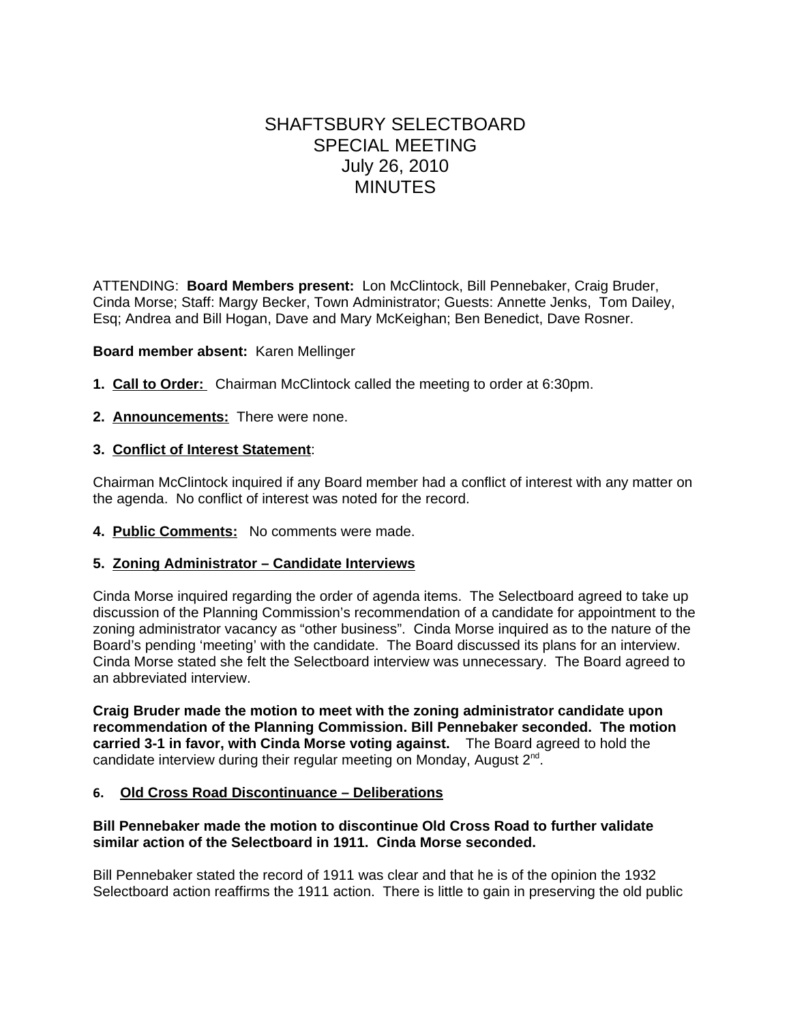# SHAFTSBURY SELECTBOARD SPECIAL MEETING July 26, 2010 **MINUTES**

ATTENDING: **Board Members present:** Lon McClintock, Bill Pennebaker, Craig Bruder, Cinda Morse; Staff: Margy Becker, Town Administrator; Guests: Annette Jenks, Tom Dailey, Esq; Andrea and Bill Hogan, Dave and Mary McKeighan; Ben Benedict, Dave Rosner.

## **Board member absent:** Karen Mellinger

- **1. Call to Order:** Chairman McClintock called the meeting to order at 6:30pm.
- **2. Announcements:** There were none.

# **3. Conflict of Interest Statement**:

Chairman McClintock inquired if any Board member had a conflict of interest with any matter on the agenda. No conflict of interest was noted for the record.

**4. Public Comments:** No comments were made.

## **5. Zoning Administrator – Candidate Interviews**

Cinda Morse inquired regarding the order of agenda items. The Selectboard agreed to take up discussion of the Planning Commission's recommendation of a candidate for appointment to the zoning administrator vacancy as "other business". Cinda Morse inquired as to the nature of the Board's pending 'meeting' with the candidate. The Board discussed its plans for an interview. Cinda Morse stated she felt the Selectboard interview was unnecessary. The Board agreed to an abbreviated interview.

**Craig Bruder made the motion to meet with the zoning administrator candidate upon recommendation of the Planning Commission. Bill Pennebaker seconded. The motion carried 3-1 in favor, with Cinda Morse voting against.** The Board agreed to hold the candidate interview during their regular meeting on Monday, August 2<sup>nd</sup>.

## **6. Old Cross Road Discontinuance – Deliberations**

# **Bill Pennebaker made the motion to discontinue Old Cross Road to further validate similar action of the Selectboard in 1911. Cinda Morse seconded.**

Bill Pennebaker stated the record of 1911 was clear and that he is of the opinion the 1932 Selectboard action reaffirms the 1911 action. There is little to gain in preserving the old public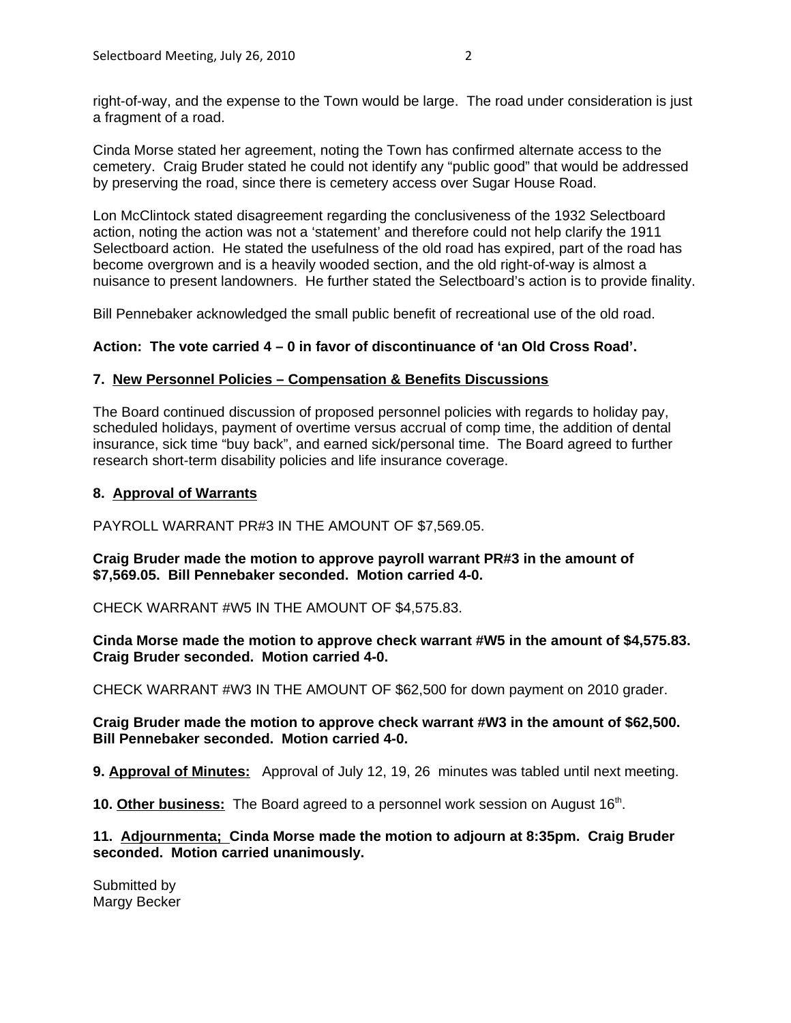right-of-way, and the expense to the Town would be large. The road under consideration is just a fragment of a road.

Cinda Morse stated her agreement, noting the Town has confirmed alternate access to the cemetery. Craig Bruder stated he could not identify any "public good" that would be addressed by preserving the road, since there is cemetery access over Sugar House Road.

Lon McClintock stated disagreement regarding the conclusiveness of the 1932 Selectboard action, noting the action was not a 'statement' and therefore could not help clarify the 1911 Selectboard action. He stated the usefulness of the old road has expired, part of the road has become overgrown and is a heavily wooded section, and the old right-of-way is almost a nuisance to present landowners. He further stated the Selectboard's action is to provide finality.

Bill Pennebaker acknowledged the small public benefit of recreational use of the old road.

# **Action: The vote carried 4 – 0 in favor of discontinuance of 'an Old Cross Road'.**

## **7. New Personnel Policies – Compensation & Benefits Discussions**

The Board continued discussion of proposed personnel policies with regards to holiday pay, scheduled holidays, payment of overtime versus accrual of comp time, the addition of dental insurance, sick time "buy back", and earned sick/personal time. The Board agreed to further research short-term disability policies and life insurance coverage.

# **8. Approval of Warrants**

PAYROLL WARRANT PR#3 IN THE AMOUNT OF \$7,569.05.

# **Craig Bruder made the motion to approve payroll warrant PR#3 in the amount of \$7,569.05. Bill Pennebaker seconded. Motion carried 4-0.**

CHECK WARRANT #W5 IN THE AMOUNT OF \$4,575.83.

**Cinda Morse made the motion to approve check warrant #W5 in the amount of \$4,575.83. Craig Bruder seconded. Motion carried 4-0.**

CHECK WARRANT #W3 IN THE AMOUNT OF \$62,500 for down payment on 2010 grader.

**Craig Bruder made the motion to approve check warrant #W3 in the amount of \$62,500. Bill Pennebaker seconded. Motion carried 4-0.**

**9. Approval of Minutes:** Approval of July 12, 19, 26 minutes was tabled until next meeting.

**10. Other business:** The Board agreed to a personnel work session on August 16<sup>th</sup>.

**11. Adjournmenta; Cinda Morse made the motion to adjourn at 8:35pm. Craig Bruder seconded. Motion carried unanimously.**

Submitted by Margy Becker